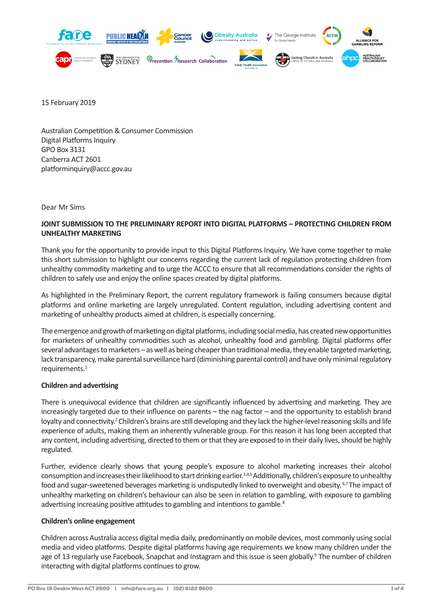

15 February 2019

Australian Competition & Consumer Commission Digital Platforms Inquiry GPO Box 3131 Canberra ACT 2601 platforminquiry@accc.gov.au

Dear Mr Sims

## **JOINT SUBMISSION TO THE PRELIMINARY REPORT INTO DIGITAL PLATFORMS – PROTECTING CHILDREN FROM UNHEALTHY MARKETING**

Thank you for the opportunity to provide input to this Digital Platforms Inquiry. We have come together to make this short submission to highlight our concerns regarding the current lack of regulation protecting children from unhealthy commodity marketing and to urge the ACCC to ensure that all recommendations consider the rights of children to safely use and enjoy the online spaces created by digital platforms.

As highlighted in the Preliminary Report, the current regulatory framework is failing consumers because digital platforms and online marketing are largely unregulated. Content regulation, including advertising content and marketing of unhealthy products aimed at children, is especially concerning.

The emergence and growth of marketing on digital platforms, including social media, has created new opportunities for marketers of unhealthy commodities such as alcohol, unhealthy food and gambling. Digital platforms offer several advantages to marketers – as well as being cheaper than traditional media, they enable targeted marketing, lack transparency, make parental surveillance hard (diminishing parental control) and have only minimal regulatory requirements.<sup>1</sup>

#### **Children and advertising**

There is unequivocal evidence that children are significantly influenced by advertising and marketing. They are increasingly targeted due to their influence on parents – the nag factor – and the opportunity to establish brand loyalty and connectivity.<sup>2</sup> Children's brains are still developing and they lack the higher-level reasoning skills and life experience of adults, making them an inherently vulnerable group. For this reason it has long been accepted that any content, including advertising, directed to them or that they are exposed to in their daily lives, should be highly regulated.

Further, evidence clearly shows that young people's exposure to alcohol marketing increases their alcohol consumption and increases their likelihood to start drinking earlier.3,4,5 Additionally, children's exposure to unhealthy food and sugar-sweetened beverages marketing is undisputedly linked to overweight and obesity. 6,7 The impact of unhealthy marketing on children's behaviour can also be seen in relation to gambling, with exposure to gambling advertising increasing positive attitudes to gambling and intentions to gamble.<sup>8</sup>

#### **Children's online engagement**

Children across Australia access digital media daily, predominantly on mobile devices, most commonly using social media and video platforms. Despite digital platforms having age requirements we know many children under the age of 13 regularly use Facebook, Snapchat and Instagram and this issue is seen globally.<sup>9</sup> The number of children interacting with digital platforms continues to grow.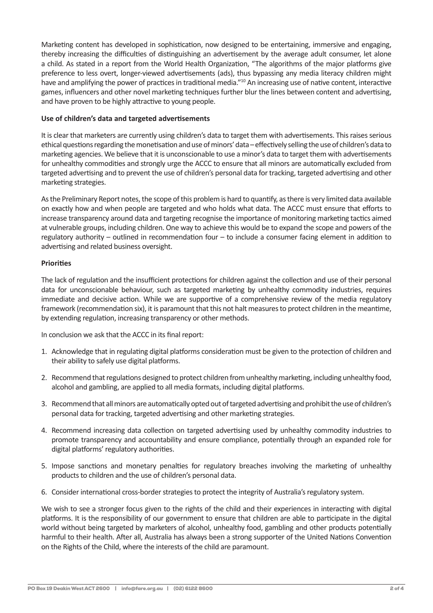Marketing content has developed in sophistication, now designed to be entertaining, immersive and engaging, thereby increasing the difficulties of distinguishing an advertisement by the average adult consumer, let alone a child. As stated in a report from the World Health Organization, "The algorithms of the major platforms give preference to less overt, longer-viewed advertisements (ads), thus bypassing any media literacy children might have and amplifying the power of practices in traditional media."<sup>10</sup> An increasing use of native content, interactive games, influencers and other novel marketing techniques further blur the lines between content and advertising, and have proven to be highly attractive to young people.

## **Use of children's data and targeted advertisements**

It is clear that marketers are currently using children's data to target them with advertisements. This raises serious ethical questions regarding the monetisation and use of minors' data – effectively selling the use of children's data to marketing agencies. We believe that it is unconscionable to use a minor's data to target them with advertisements for unhealthy commodities and strongly urge the ACCC to ensure that all minors are automatically excluded from targeted advertising and to prevent the use of children's personal data for tracking, targeted advertising and other marketing strategies.

As the Preliminary Report notes, the scope of this problem is hard to quantify, as there is very limited data available on exactly how and when people are targeted and who holds what data. The ACCC must ensure that efforts to increase transparency around data and targeting recognise the importance of monitoring marketing tactics aimed at vulnerable groups, including children. One way to achieve this would be to expand the scope and powers of the regulatory authority – outlined in recommendation four – to include a consumer facing element in addition to advertising and related business oversight.

# **Priorities**

The lack of regulation and the insufficient protections for children against the collection and use of their personal data for unconscionable behaviour, such as targeted marketing by unhealthy commodity industries, requires immediate and decisive action. While we are supportive of a comprehensive review of the media regulatory framework (recommendation six), it is paramount that this not halt measures to protect children in the meantime, by extending regulation, increasing transparency or other methods.

In conclusion we ask that the ACCC in its final report:

- 1. Acknowledge that in regulating digital platforms consideration must be given to the protection of children and their ability to safely use digital platforms.
- 2. Recommend that regulations designed to protect children from unhealthy marketing, including unhealthy food, alcohol and gambling, are applied to all media formats, including digital platforms.
- 3. Recommend that all minors are automatically opted out of targeted advertising and prohibit the use of children's personal data for tracking, targeted advertising and other marketing strategies.
- 4. Recommend increasing data collection on targeted advertising used by unhealthy commodity industries to promote transparency and accountability and ensure compliance, potentially through an expanded role for digital platforms' regulatory authorities.
- 5. Impose sanctions and monetary penalties for regulatory breaches involving the marketing of unhealthy products to children and the use of children's personal data.
- 6. Consider international cross-border strategies to protect the integrity of Australia's regulatory system.

We wish to see a stronger focus given to the rights of the child and their experiences in interacting with digital platforms. It is the responsibility of our government to ensure that children are able to participate in the digital world without being targeted by marketers of alcohol, unhealthy food, gambling and other products potentially harmful to their health. After all, Australia has always been a strong supporter of the United Nations Convention on the Rights of the Child, where the interests of the child are paramount.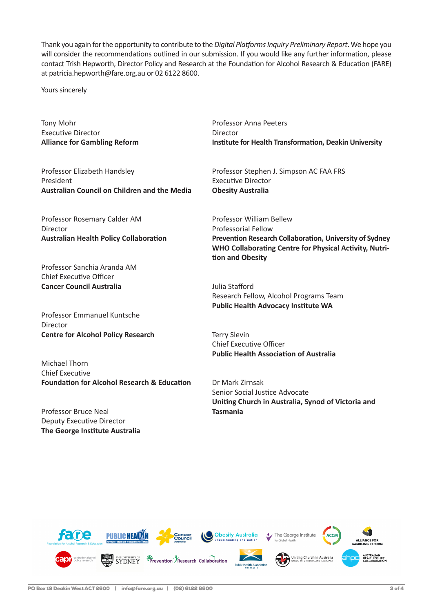Thank you again for the opportunity to contribute to the *Digital Platforms Inquiry Preliminary Report*. We hope you will consider the recommendations outlined in our submission. If you would like any further information, please contact Trish Hepworth, Director Policy and Research at the Foundation for Alcohol Research & Education (FARE) at patricia.hepworth@fare.org.au or 02 6122 8600.

Yours sincerely

Tony Mohr Executive Director **Alliance for Gambling Reform** Professor Anna Peeters Director **Institute for Health Transformation, Deakin University**

Professor Elizabeth Handsley President **Australian Council on Children and the Media**

Professor Rosemary Calder AM Director **Australian Health Policy Collaboration**

Professor Sanchia Aranda AM Chief Executive Officer **Cancer Council Australia**

Professor Emmanuel Kuntsche Director **Centre for Alcohol Policy Research**

Michael Thorn Chief Executive **Foundation for Alcohol Research & Education**

Professor Bruce Neal Deputy Executive Director **The George Institute Australia** Professor Stephen J. Simpson AC FAA FRS Executive Director **Obesity Australia**

Professor William Bellew Professorial Fellow **Prevention Research Collaboration, University of Sydney WHO Collaborating Centre for Physical Activity, Nutrition and Obesity**

Julia Stafford Research Fellow, Alcohol Programs Team **Public Health Advocacy Institute WA** 

Terry Slevin Chief Executive Officer **Public Health Association of Australia**

Dr Mark Zirnsak Senior Social Justice Advocate **Uniting Church in Australia, Synod of Victoria and Tasmania**